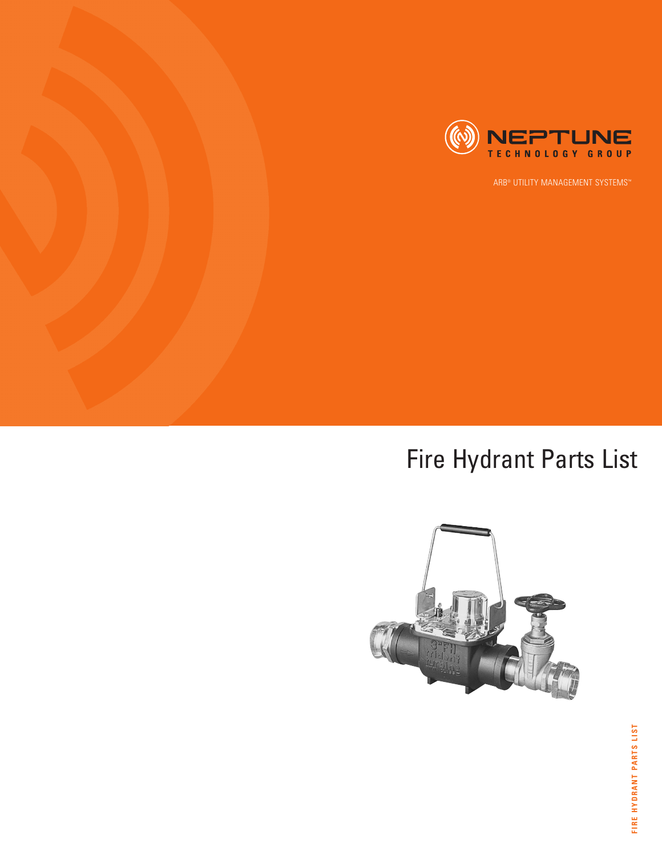

## Fire Hydrant Parts List

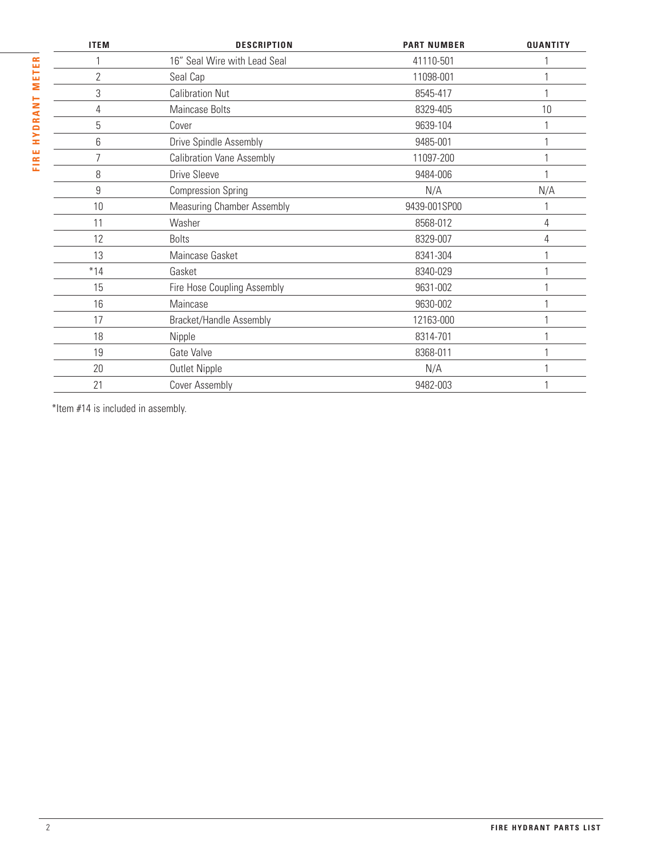| <b>ITEM</b>    | <b>DESCRIPTION</b>                | <b>PART NUMBER</b> | <b>QUANTITY</b> |
|----------------|-----------------------------------|--------------------|-----------------|
|                | 16" Seal Wire with Lead Seal      | 41110-501          |                 |
| $\overline{2}$ | Seal Cap                          | 11098-001          |                 |
| 3              | <b>Calibration Nut</b>            | 8545-417           |                 |
| 4              | Maincase Bolts                    | 8329-405           | 10              |
| 5              | Cover                             | 9639-104           |                 |
| 6              | Drive Spindle Assembly            | 9485-001           |                 |
| $\overline{7}$ | <b>Calibration Vane Assembly</b>  | 11097-200          |                 |
| 8              | Drive Sleeve                      | 9484-006           |                 |
| 9              | <b>Compression Spring</b>         | N/A                | N/A             |
| 10             | <b>Measuring Chamber Assembly</b> | 9439-001SP00       |                 |
| 11             | Washer                            | 8568-012           | 4               |
| 12             | <b>Bolts</b>                      | 8329-007           | 4               |
| 13             | Maincase Gasket                   | 8341-304           |                 |
| $*14$          | Gasket                            | 8340-029           |                 |
| 15             | Fire Hose Coupling Assembly       | 9631-002           |                 |
| 16             | Maincase                          | 9630-002           |                 |
| 17             | Bracket/Handle Assembly           | 12163-000          |                 |
| 18             | Nipple                            | 8314-701           |                 |
| 19             | Gate Valve                        | 8368-011           |                 |
| 20             | Outlet Nipple                     | N/A                |                 |
| 21             | Cover Assembly                    | 9482-003           |                 |

\*Item #14 is included in assembly.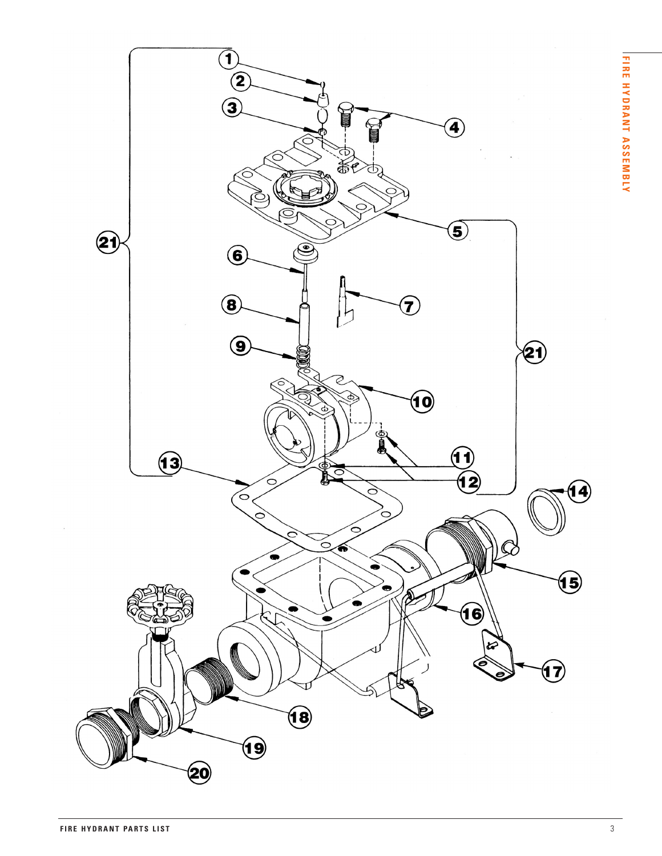**Y**